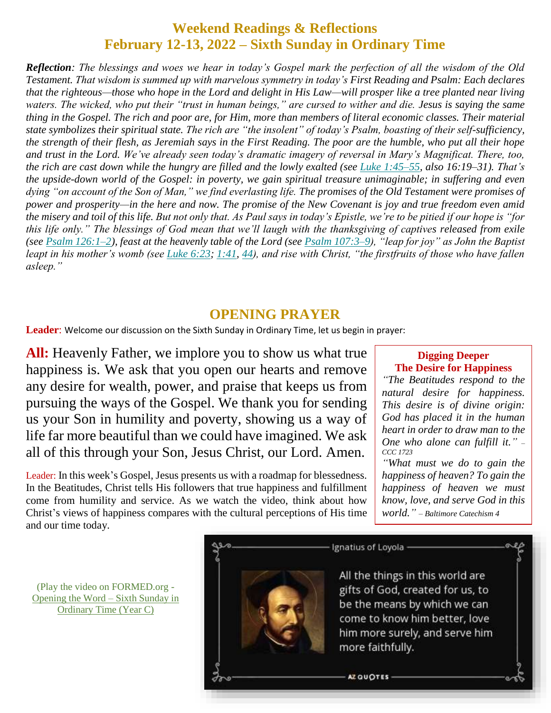## **Weekend Readings & Reflections February 12-13, 2022 – Sixth Sunday in Ordinary Time**

*Reflection: The blessings and woes we hear in today's Gospel mark the perfection of all the wisdom of the Old Testament. That wisdom is summed up with marvelous symmetry in today's First Reading and Psalm: Each declares that the righteous—those who hope in the Lord and delight in His Law—will prosper like a tree planted near living waters. The wicked, who put their "trust in human beings," are cursed to wither and die. Jesus is saying the same thing in the Gospel. The rich and poor are, for Him, more than members of literal economic classes. Their material state symbolizes their spiritual state. The rich are "the insolent" of today's Psalm, boasting of their self-sufficiency, the strength of their flesh, as Jeremiah says in the First Reading. The poor are the humble, who put all their hope and trust in the Lord. We've already seen today's dramatic imagery of reversal in Mary's Magnificat. There, too, the rich are cast down while the hungry are filled and the lowly exalted (see [Luke 1:45–55,](https://stpaulcenter.us1.list-manage.com/track/click?u=2105b9ae357c6e5425a6abcf9&id=60707b60bf&e=64660aa822) also 16:19–31). That's the upside-down world of the Gospel: in poverty, we gain spiritual treasure unimaginable; in suffering and even dying "on account of the Son of Man," we find everlasting life. The promises of the Old Testament were promises of power and prosperity—in the here and now. The promise of the New Covenant is joy and true freedom even amid the misery and toil of this life. But not only that. As Paul says in today's Epistle, we're to be pitied if our hope is "for this life only." The blessings of God mean that we'll laugh with the thanksgiving of captives released from exile (see [Psalm 126:1–2\)](https://stpaulcenter.us1.list-manage.com/track/click?u=2105b9ae357c6e5425a6abcf9&id=cdb2285825&e=64660aa822), feast at the heavenly table of the Lord (see [Psalm 107:3–9\)](https://stpaulcenter.us1.list-manage.com/track/click?u=2105b9ae357c6e5425a6abcf9&id=8502ad23c6&e=64660aa822), "leap for joy" as John the Baptist leapt in his mother's womb (see [Luke 6:23;](https://stpaulcenter.us1.list-manage.com/track/click?u=2105b9ae357c6e5425a6abcf9&id=8ed014019d&e=64660aa822) [1:41,](https://stpaulcenter.us1.list-manage.com/track/click?u=2105b9ae357c6e5425a6abcf9&id=3112901e88&e=64660aa822) [44\)](https://stpaulcenter.us1.list-manage.com/track/click?u=2105b9ae357c6e5425a6abcf9&id=b36b450ac4&e=64660aa822), and rise with Christ, "the firstfruits of those who have fallen asleep."*

#### **OPENING PRAYER**

**Leader**: Welcome our discussion on the Sixth Sunday in Ordinary Time, let us begin in prayer:

**All:** Heavenly Father, we implore you to show us what true happiness is. We ask that you open our hearts and remove any desire for wealth, power, and praise that keeps us from pursuing the ways of the Gospel. We thank you for sending us your Son in humility and poverty, showing us a way of life far more beautiful than we could have imagined. We ask all of this through your Son, Jesus Christ, our Lord. Amen.

Leader: In this week's Gospel, Jesus presents us with a roadmap for blessedness. In the Beatitudes, Christ tells His followers that true happiness and fulfillment come from humility and service. As we watch the video, think about how Christ's views of happiness compares with the cultural perceptions of His time and our time today.

#### **Digging Deeper The Desire for Happiness**

*"The Beatitudes respond to the natural desire for happiness. This desire is of divine origin: God has placed it in the human heart in order to draw man to the One who alone can fulfill it." – CCC 1723*

*"What must we do to gain the happiness of heaven? To gain the happiness of heaven we must know, love, and serve God in this world." – Baltimore Catechism 4*



(Play the video on FORMED.org - [Opening the Word –](https://watch.formed.org/opening-the-word-1/season:3/videos/6th-sunday-in-ordinary-time-february-17-2019) Sixth Sunday in [Ordinary Time](https://watch.formed.org/opening-the-word-1/season:3/videos/6th-sunday-in-ordinary-time-february-17-2019) (Year C)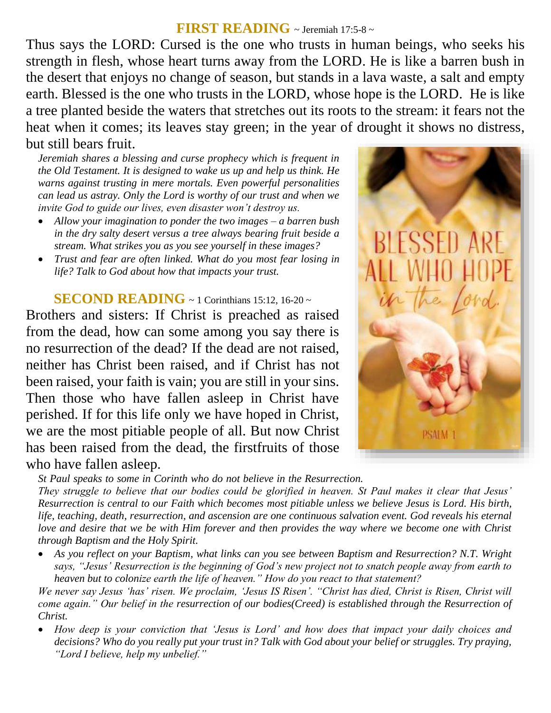#### **FIRST READING** ~ Jeremiah 17:5-8 <sup>~</sup>

Thus says the LORD: Cursed is the one who trusts in human beings, who seeks his strength in flesh, whose heart turns away from the LORD. He is like a barren bush in the desert that enjoys no change of season, but stands in a lava waste, a salt and empty earth. Blessed is the one who trusts in the LORD, whose hope is the LORD. He is like a tree planted beside the waters that stretches out its roots to the stream: it fears not the heat when it comes; its leaves stay green; in the year of drought it shows no distress, but still bears fruit.

*Jeremiah shares a blessing and curse prophecy which is frequent in the Old Testament. It is designed to wake us up and help us think. He warns against trusting in mere mortals. Even powerful personalities can lead us astray. Only the Lord is worthy of our trust and when we invite God to guide our lives, even disaster won't destroy us.* 

- *Allow your imagination to ponder the two images – a barren bush in the dry salty desert versus a tree always bearing fruit beside a stream. What strikes you as you see yourself in these images?*
- *Trust and fear are often linked. What do you most fear losing in life? Talk to God about how that impacts your trust.*

### **SECOND READING** ~ 1 Corinthians 15:12, 16-20 ~

Brothers and sisters: If Christ is preached as raised from the dead, how can some among you say there is no resurrection of the dead? If the dead are not raised, neither has Christ been raised, and if Christ has not been raised, your faith is vain; you are still in your sins. Then those who have fallen asleep in Christ have perished. If for this life only we have hoped in Christ, we are the most pitiable people of all. But now Christ has been raised from the dead, the firstfruits of those who have fallen asleep.



*St Paul speaks to some in Corinth who do not believe in the Resurrection.* 

*They struggle to believe that our bodies could be glorified in heaven. St Paul makes it clear that Jesus' Resurrection is central to our Faith which becomes most pitiable unless we believe Jesus is Lord. His birth, life, teaching, death, resurrection, and ascension are one continuous salvation event. God reveals his eternal love and desire that we be with Him forever and then provides the way where we become one with Christ through Baptism and the Holy Spirit.* 

 *As you reflect on your Baptism, what links can you see between Baptism and Resurrection? N.T. Wright says, "Jesus' Resurrection is the beginning of God's new project not to snatch people away from earth to heaven but to colonize earth the life of heaven." How do you react to that statement?*

*We never say Jesus 'has' risen. We proclaim, 'Jesus IS Risen'. "Christ has died, Christ is Risen, Christ will come again." Our belief in the resurrection of our bodies(Creed) is established through the Resurrection of Christ.* 

 *How deep is your conviction that 'Jesus is Lord' and how does that impact your daily choices and decisions? Who do you really put your trust in? Talk with God about your belief or struggles. Try praying, "Lord I believe, help my unbelief."*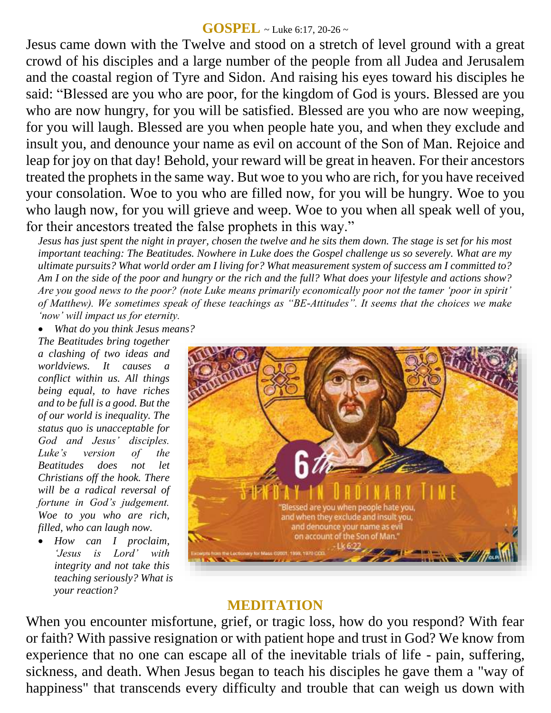#### **GOSPEL** ~ Luke 6:17, 20-26 <sup>~</sup>

Jesus came down with the Twelve and stood on a stretch of level ground with a great crowd of his disciples and a large number of the people from all Judea and Jerusalem and the coastal region of Tyre and Sidon. And raising his eyes toward his disciples he said: "Blessed are you who are poor, for the kingdom of God is yours. Blessed are you who are now hungry, for you will be satisfied. Blessed are you who are now weeping, for you will laugh. Blessed are you when people hate you, and when they exclude and insult you, and denounce your name as evil on account of the Son of Man. Rejoice and leap for joy on that day! Behold, your reward will be great in heaven. For their ancestors treated the prophets in the same way. But woe to you who are rich, for you have received your consolation. Woe to you who are filled now, for you will be hungry. Woe to you who laugh now, for you will grieve and weep. Woe to you when all speak well of you, for their ancestors treated the false prophets in this way."

*Jesus has just spent the night in prayer, chosen the twelve and he sits them down. The stage is set for his most important teaching: The Beatitudes. Nowhere in Luke does the Gospel challenge us so severely. What are my ultimate pursuits? What world order am I living for? What measurement system of success am I committed to? Am I on the side of the poor and hungry or the rich and the full? What does your lifestyle and actions show? Are you good news to the poor? (note Luke means primarily economically poor not the tamer 'poor in spirit' of Matthew). We sometimes speak of these teachings as "BE-Attitudes". It seems that the choices we make 'now' will impact us for eternity.* 

*What do you think Jesus means?*

*The Beatitudes bring together a clashing of two ideas and worldviews. It causes a conflict within us. All things being equal, to have riches and to be full is a good. But the of our world is inequality. The status quo is unacceptable for God and Jesus' disciples. Luke's version of the Beatitudes does not let Christians off the hook. There will be a radical reversal of fortune in God's judgement. Woe to you who are rich, filled, who can laugh now.* 

 *How can I proclaim, 'Jesus is Lord' with integrity and not take this teaching seriously? What is your reaction?*



### **MEDITATION**

When you encounter misfortune, grief, or tragic loss, how do you respond? With fear or faith? With passive resignation or with patient hope and trust in God? We know from experience that no one can escape all of the inevitable trials of life - pain, suffering, sickness, and death. When Jesus began to teach his disciples he gave them a "way of happiness" that transcends every difficulty and trouble that can weigh us down with